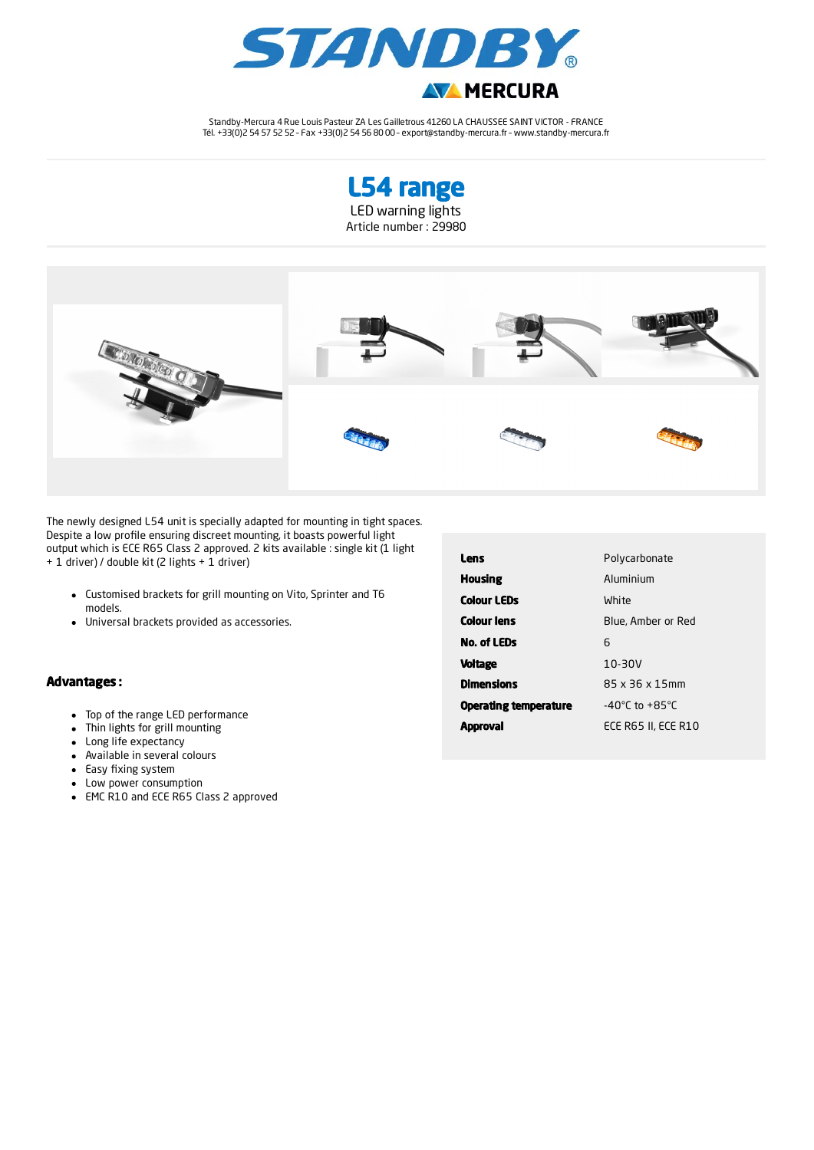

Standby-Mercura 4 Rue Louis Pasteur ZA Les Gailletrous 41260 LA CHAUSSEE SAINT VICTOR - FRANCE Tél. +33(0)2 54 57 52 52 – Fax +33(0)2 54 56 80 00 – export@standby-mercura.fr – www.standby-mercura.fr





The newly designed L54 unit is specially adapted for mounting in tight spaces. Despite a low profile ensuring discreet mounting, it boasts powerful light output which is ECE R65 Class 2 approved. 2 kits available : single kit (1 light + 1 driver) / double kit (2 lights + 1 driver)

- Customised brackets for grill mounting on Vito, Sprinter and T6 models.
- Universal brackets provided as accessories.

## Advantages :

- Top of the range LED performance
- Thin lights for grill mounting  $\bullet$
- Long life expectancy
- Available in several colours
- Easy fixing system
- Low power consumption
- EMC R10 and ECE R65 Class 2 approved

| Lens                         | Polycarbonate                      |  |
|------------------------------|------------------------------------|--|
| <b>Housing</b>               | Aluminium                          |  |
| <b>Colour LEDs</b>           | White                              |  |
| <b>Colour lens</b>           | Blue, Amber or Red                 |  |
| <b>No. of LEDs</b>           | 6                                  |  |
| <b>Voltage</b>               | $10-30V$                           |  |
| <b>Dimensions</b>            | 85 x 36 x 15mm                     |  |
| <b>Operating temperature</b> | $-40^{\circ}$ C to $+85^{\circ}$ C |  |
| Aooroval                     | ECE R65 II, ECE R10                |  |